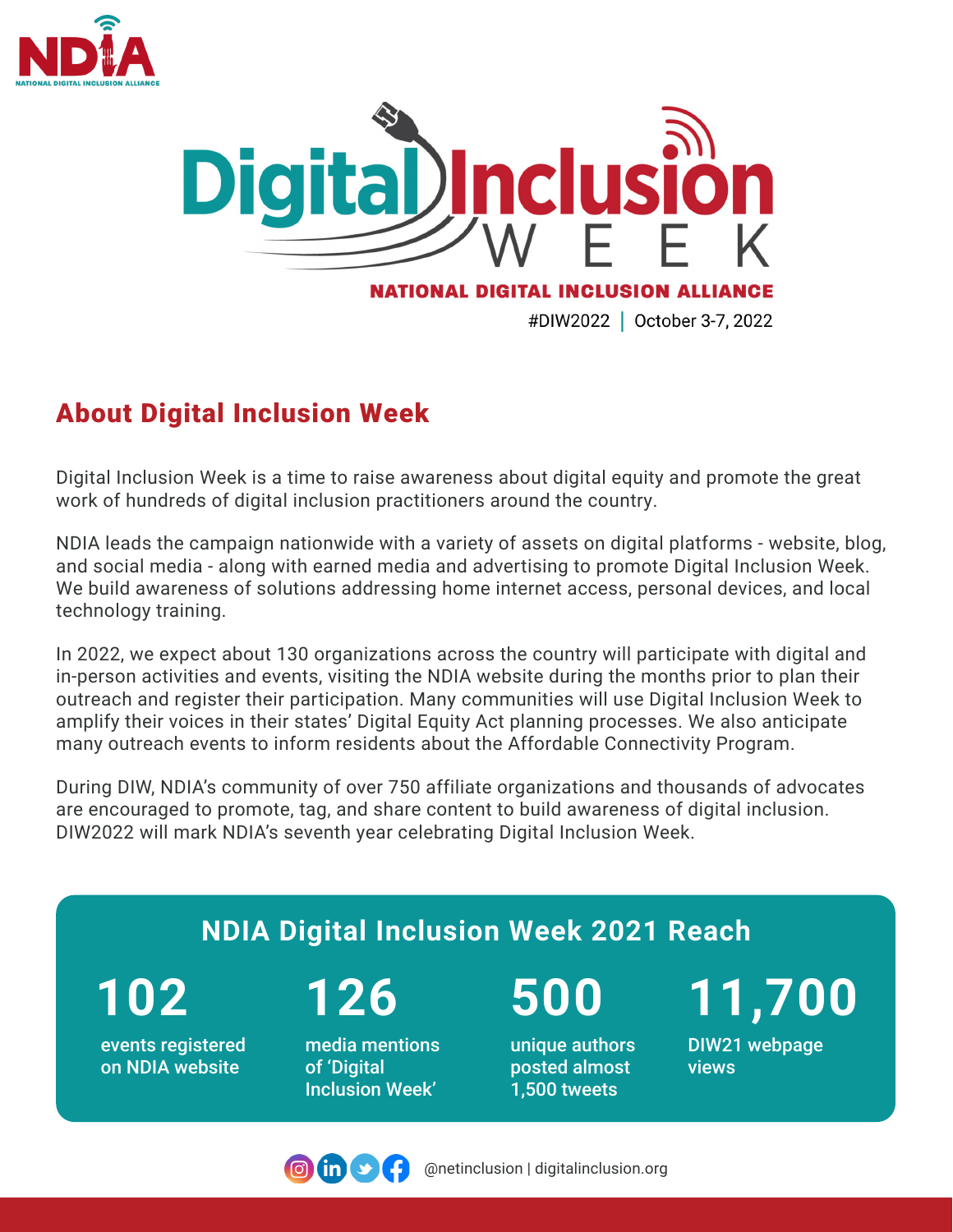



## About Digital Inclusion Week

Digital Inclusion Week is a time to raise awareness about digital equity and promote the great work of hundreds of digital inclusion practitioners around the country.

NDIA leads the campaign nationwide with a variety of assets on digital platforms - website, blog, and social media - along with earned media and advertising to promote Digital Inclusion Week. We build awareness of solutions addressing home internet access, personal devices, and local technology training.

In 2022, we expect about 130 organizations across the country will participate with digital and in-person activities and events, visiting the NDIA website during the months prior to plan their outreach and register their participation. Many communities will use Digital Inclusion Week to amplify their voices in their states' Digital Equity Act planning processes. We also anticipate many outreach events to inform residents about the Affordable Connectivity Program.

During DIW, NDIA's community of over 750 affiliate organizations and thousands of advocates are encouraged to promote, tag, and share content to build awareness of digital inclusion. DIW2022 will mark NDIA's seventh year celebrating Digital Inclusion Week.

## **NDIA Digital Inclusion Week 2021 Reach** events registered on NDIA website **102 126** media mentions of 'Digital Inclusion Week' **500** unique authors posted almost 1,500 tweets **11,700** DIW21 webpage views